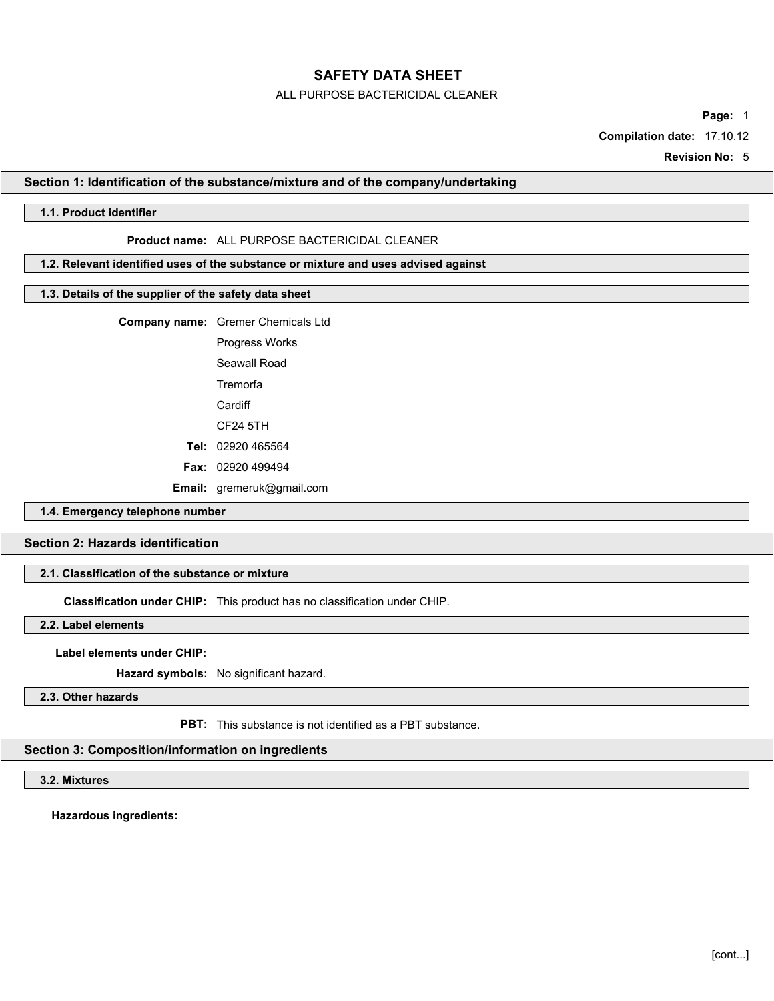### ALL PURPOSE BACTERICIDAL CLEANER

**Page:** 1

**Compilation date:** 17.10.12

**Revision No:** 5

#### **Section 1: Identification of the substance/mixture and of the company/undertaking**

### **1.1. Product identifier**

#### **Product name:** ALL PURPOSE BACTERICIDAL CLEANER

#### **1.2. Relevant identified uses of the substance or mixture and uses advised against**

### **1.3. Details of the supplier of the safety data sheet**

**Company name:** Gremer Chemicals Ltd

Progress Works

Seawall Road **Tremorfa** 

**Cardiff** 

CF24 5TH

**Tel:** 02920 465564

**Fax:** 02920 499494

**Email:** gremeruk@gmail.com

### **1.4. Emergency telephone number**

# **Section 2: Hazards identification**

#### **2.1. Classification of the substance or mixture**

**Classification under CHIP:** This product has no classification under CHIP.

### **2.2. Label elements**

#### **Label elements under CHIP:**

**Hazard symbols:** No significant hazard.

### **2.3. Other hazards**

**PBT:** This substance is not identified as a PBT substance.

### **Section 3: Composition/information on ingredients**

### **3.2. Mixtures**

**Hazardous ingredients:**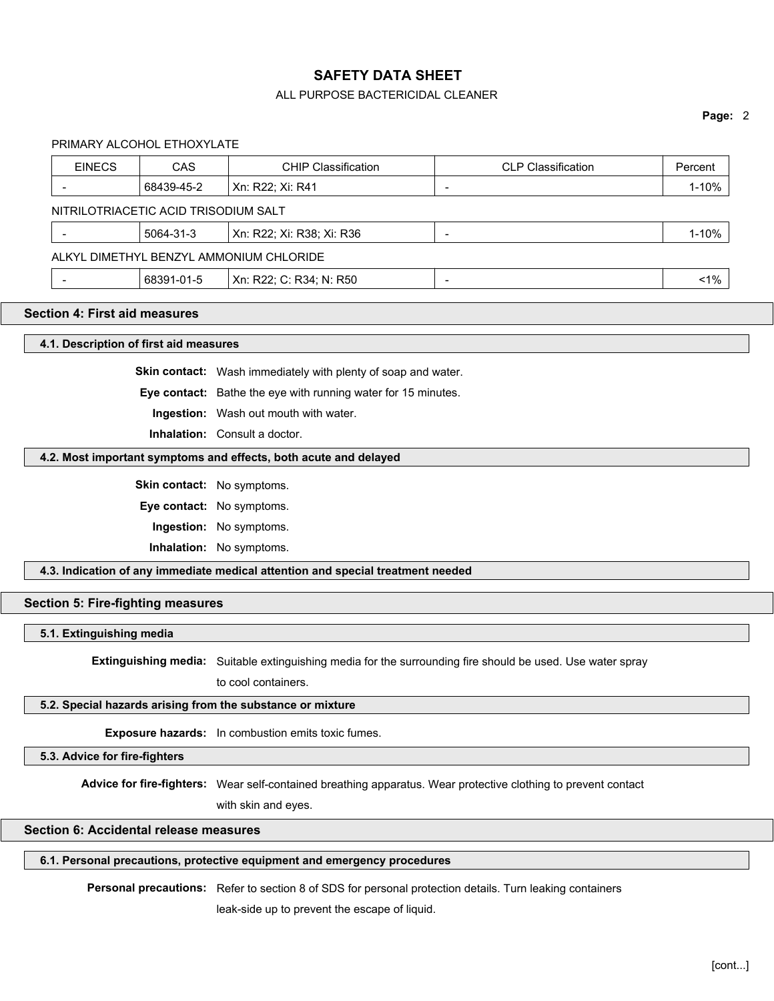### ALL PURPOSE BACTERICIDAL CLEANER

#### **Page:** 2

PRIMARY ALCOHOL ETHOXYLATE

| <b>EINECS</b>                           | <b>CAS</b>                           | <b>CHIP Classification</b> | <b>CLP Classification</b> | Percent   |  |
|-----------------------------------------|--------------------------------------|----------------------------|---------------------------|-----------|--|
|                                         | 68439-45-2                           | Xn: R22; Xi: R41           | $\overline{\phantom{a}}$  | 1-10%     |  |
|                                         | NITRILOTRIACETIC ACID TRISODIUM SALT |                            |                           |           |  |
|                                         | 5064-31-3                            | Xn: R22; Xi: R38; Xi: R36  | $\overline{\phantom{a}}$  | $1 - 10%$ |  |
| ALKYL DIMETHYL BENZYL AMMONIUM CHLORIDE |                                      |                            |                           |           |  |
|                                         | 68391-01-5                           | Xn: R22; C: R34; N: R50    | $\overline{\phantom{a}}$  | $1\%$     |  |
|                                         |                                      |                            |                           |           |  |

### **Section 4: First aid measures**

**4.1. Description of first aid measures**

**Skin contact:** Wash immediately with plenty of soap and water.

**Eye contact:** Bathe the eye with running water for 15 minutes.

**Ingestion:** Wash out mouth with water.

**Inhalation:** Consult a doctor.

### **4.2. Most important symptoms and effects, both acute and delayed**

**Skin contact:** No symptoms.

**Eye contact:** No symptoms.

**Ingestion:** No symptoms.

**Inhalation:** No symptoms.

**4.3. Indication of any immediate medical attention and special treatment needed**

### **Section 5: Fire-fighting measures**

#### **5.1. Extinguishing media**

**Extinguishing media:** Suitable extinguishing media for the surrounding fire should be used. Use water spray

to cool containers.

#### **5.2. Special hazards arising from the substance or mixture**

**Exposure hazards:** In combustion emits toxic fumes.

**5.3. Advice for fire-fighters**

**Advice for fire-fighters:** Wear self-contained breathing apparatus. Wear protective clothing to prevent contact

with skin and eyes.

# **Section 6: Accidental release measures**

### **6.1. Personal precautions, protective equipment and emergency procedures**

**Personal precautions:** Refer to section 8 of SDS for personal protection details. Turn leaking containers

leak-side up to prevent the escape of liquid.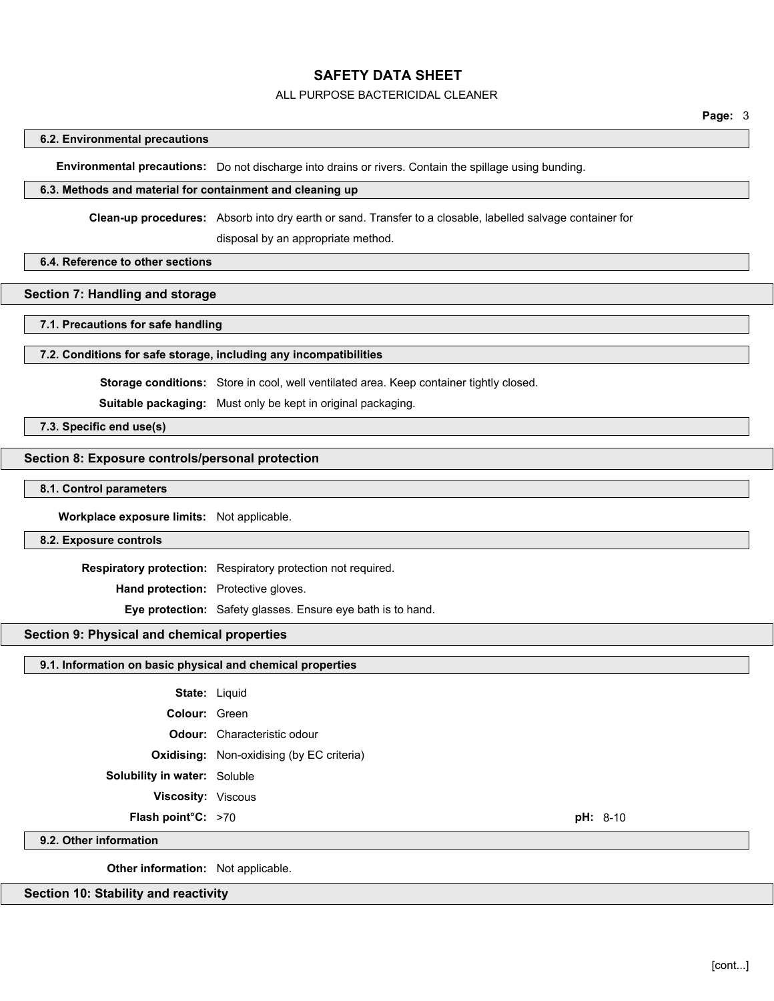#### ALL PURPOSE BACTERICIDAL CLEANER

#### **Page:** 3

#### **6.2. Environmental precautions**

**Environmental precautions:** Do not discharge into drains or rivers. Contain the spillage using bunding.

#### **6.3. Methods and material for containment and cleaning up**

**Clean-up procedures:** Absorb into dry earth or sand. Transfer to a closable, labelled salvage container for

disposal by an appropriate method.

#### **6.4. Reference to other sections**

### **Section 7: Handling and storage**

#### **7.1. Precautions for safe handling**

### **7.2. Conditions for safe storage, including any incompatibilities**

**Storage conditions:** Store in cool, well ventilated area. Keep container tightly closed.

**Suitable packaging:** Must only be kept in original packaging.

**7.3. Specific end use(s)**

### **Section 8: Exposure controls/personal protection**

#### **8.1. Control parameters**

**Workplace exposure limits:** Not applicable.

#### **8.2. Exposure controls**

**Respiratory protection:** Respiratory protection not required.

**Hand protection:** Protective gloves.

**Eye protection:** Safety glasses. Ensure eye bath is to hand.

### **Section 9: Physical and chemical properties**

| 9.1. Information on basic physical and chemical properties |  |  |  |
|------------------------------------------------------------|--|--|--|
|------------------------------------------------------------|--|--|--|

| <b>State: Liquid</b> |  |
|----------------------|--|
| <b>Colour:</b> Green |  |

**Odour:** Characteristic odour

**Oxidising:** Non-oxidising (by EC criteria)

- **Solubility in water:** Soluble
	- **Viscosity:** Viscous
	- **Flash point°C:** >70 **pH:** 8-10

#### **9.2. Other information**

**Other information:** Not applicable.

#### **Section 10: Stability and reactivity**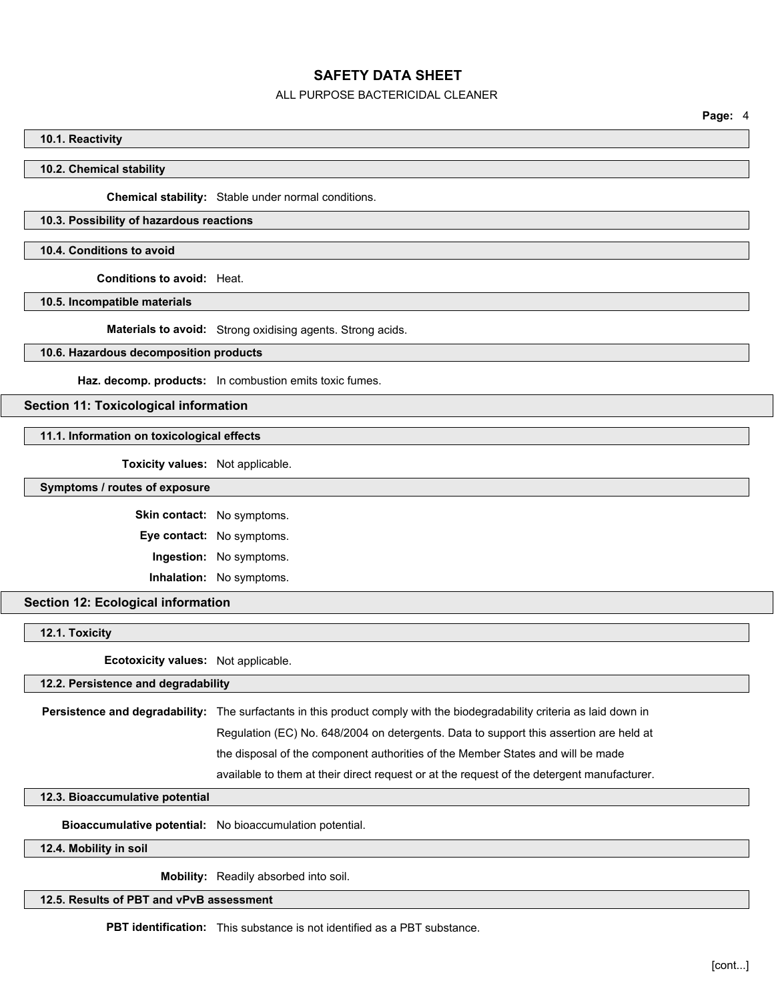#### ALL PURPOSE BACTERICIDAL CLEANER

**Page:** 4

#### **10.1. Reactivity**

**10.2. Chemical stability**

**Chemical stability:** Stable under normal conditions.

### **10.3. Possibility of hazardous reactions**

**10.4. Conditions to avoid**

**Conditions to avoid:** Heat.

**10.5. Incompatible materials**

**Materials to avoid:** Strong oxidising agents. Strong acids.

**10.6. Hazardous decomposition products**

**Haz. decomp. products:** In combustion emits toxic fumes.

#### **Section 11: Toxicological information**

**11.1. Information on toxicological effects**

**Toxicity values:** Not applicable.

**Symptoms / routes of exposure**

**Skin contact:** No symptoms. **Eye contact:** No symptoms. **Ingestion:** No symptoms. **Inhalation:** No symptoms.

**Section 12: Ecological information**

**12.1. Toxicity**

**Ecotoxicity values:** Not applicable.

**12.2. Persistence and degradability**

**Persistence and degradability:** The surfactants in this product comply with the biodegradability criteria as laid down in Regulation (EC) No. 648/2004 on detergents. Data to support this assertion are held at the disposal of the component authorities of the Member States and will be made available to them at their direct request or at the request of the detergent manufacturer.

#### **12.3. Bioaccumulative potential**

**Bioaccumulative potential:** No bioaccumulation potential.

**12.4. Mobility in soil**

**Mobility:** Readily absorbed into soil.

### **12.5. Results of PBT and vPvB assessment**

**PBT identification:** This substance is not identified as a PBT substance.